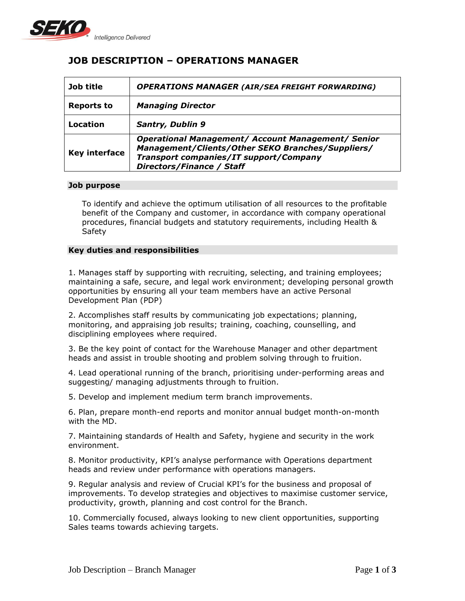

# **JOB DESCRIPTION – OPERATIONS MANAGER**

| Job title            | <b>OPERATIONS MANAGER (AIR/SEA FREIGHT FORWARDING)</b>                                                                                                                                |
|----------------------|---------------------------------------------------------------------------------------------------------------------------------------------------------------------------------------|
| <b>Reports to</b>    | <b>Managing Director</b>                                                                                                                                                              |
| Location             | <b>Santry, Dublin 9</b>                                                                                                                                                               |
| <b>Key interface</b> | <b>Operational Management/ Account Management/ Senior</b><br>Management/Clients/Other SEKO Branches/Suppliers/<br>Transport companies/IT support/Company<br>Directors/Finance / Staff |

## **Job purpose**

To identify and achieve the optimum utilisation of all resources to the profitable benefit of the Company and customer, in accordance with company operational procedures, financial budgets and statutory requirements, including Health & Safety

## **Key duties and responsibilities**

1. Manages staff by supporting with recruiting, selecting, and training employees; maintaining a safe, secure, and legal work environment; developing personal growth opportunities by ensuring all your team members have an active Personal Development Plan (PDP)

2. Accomplishes staff results by communicating job expectations; planning, monitoring, and appraising job results; training, coaching, counselling, and disciplining employees where required.

3. Be the key point of contact for the Warehouse Manager and other department heads and assist in trouble shooting and problem solving through to fruition.

4. Lead operational running of the branch, prioritising under-performing areas and suggesting/ managing adjustments through to fruition.

5. Develop and implement medium term branch improvements.

6. Plan, prepare month-end reports and monitor annual budget month-on-month with the MD.

7. Maintaining standards of Health and Safety, hygiene and security in the work environment.

8. Monitor productivity, KPI's analyse performance with Operations department heads and review under performance with operations managers.

9. Regular analysis and review of Crucial KPI's for the business and proposal of improvements. To develop strategies and objectives to maximise customer service, productivity, growth, planning and cost control for the Branch.

10. Commercially focused, always looking to new client opportunities, supporting Sales teams towards achieving targets.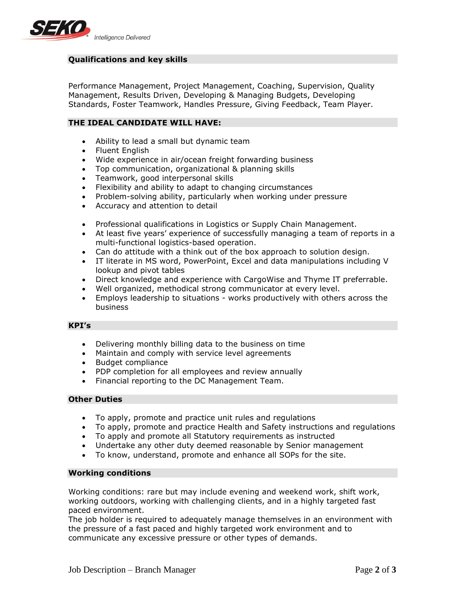

# **Qualifications and key skills**

Performance Management, Project Management, Coaching, Supervision, Quality Management, Results Driven, Developing & Managing Budgets, Developing Standards, Foster Teamwork, Handles Pressure, Giving Feedback, Team Player.

# **THE IDEAL CANDIDATE WILL HAVE:**

- Ability to lead a small but dynamic team
- Fluent English
- Wide experience in air/ocean freight forwarding business
- Top communication, organizational & planning skills
- Teamwork, good interpersonal skills
- Flexibility and ability to adapt to changing circumstances
- Problem-solving ability, particularly when working under pressure
- Accuracy and attention to detail
- Professional qualifications in Logistics or Supply Chain Management.
- At least five years' experience of successfully managing a team of reports in a multi-functional logistics-based operation.
- Can do attitude with a think out of the box approach to solution design.
- IT literate in MS word, PowerPoint, Excel and data manipulations including V lookup and pivot tables
- Direct knowledge and experience with CargoWise and Thyme IT preferrable.
- Well organized, methodical strong communicator at every level.
- Employs leadership to situations works productively with others across the business

## **KPI's**

- Delivering monthly billing data to the business on time
- Maintain and comply with service level agreements
- Budget compliance
- PDP completion for all employees and review annually
- Financial reporting to the DC Management Team.

#### **Other Duties**

- To apply, promote and practice unit rules and regulations
- To apply, promote and practice Health and Safety instructions and regulations
- To apply and promote all Statutory requirements as instructed
- Undertake any other duty deemed reasonable by Senior management
- To know, understand, promote and enhance all SOPs for the site.

#### **Working conditions**

Working conditions: rare but may include evening and weekend work, shift work, working outdoors, working with challenging clients, and in a highly targeted fast paced environment.

The job holder is required to adequately manage themselves in an environment with the pressure of a fast paced and highly targeted work environment and to communicate any excessive pressure or other types of demands.